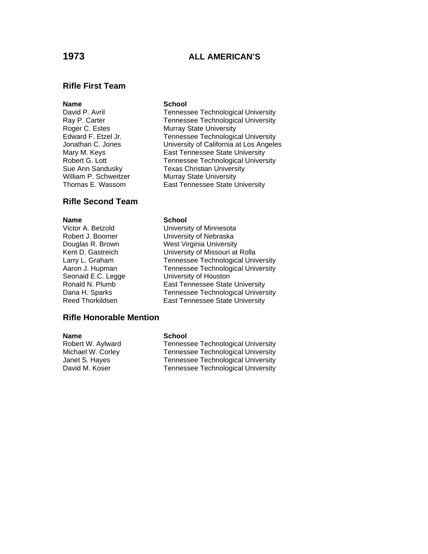# **1973 ALL AMERICAN'S**

### **Rifle First Team**

## **Rifle Second Team**

**Name**<br>
Victor A. Betzold
victor A. Betzold
victor A. Betzold **School School** Robert J. Boomer University of Nebraska Douglas R. Brown West Virginia University Kent D. Gastreich University of Missouri at Rolla Larry L. Graham Tennessee Technological University Aaron J. Hupman Tennessee Technological University Seonaid E.C. Legge **University of Houston**<br>
Ronald N. Plumb **East Tennessee State** Ronald N. Plumb<br>
Dana H. Sparks

Tennessee Technological Univer Reed Thorkildsen **East Tennessee State University** 

**Name** School

**Rifle Honorable Mention** 

Robert W. Aylward Tennessee Technological University Michael W. Corley Tennessee Technological University Janet S. Hayes Tennessee Technological University David M. Koser Tennessee Technological University

Tennessee Technological University

### **Name** School

David P. Avril **Tennessee Technological University** Ray P. Carter Tennessee Technological University<br>
Roger C. Estes Technological University **Murray State University** Edward F. Etzel Jr. Tennessee Technological University Jonathan C. Jones University of California at Los Angeles Mary M. Keys **East Tennessee State University** Robert G. Lott **Tennessee Technological University** Sue Ann Sandusky **Texas Christian University**<br>
William P. Schweitzer Murrav State University **Murray State University** Thomas E. Wassom East Tennessee State University

University of Minnesota